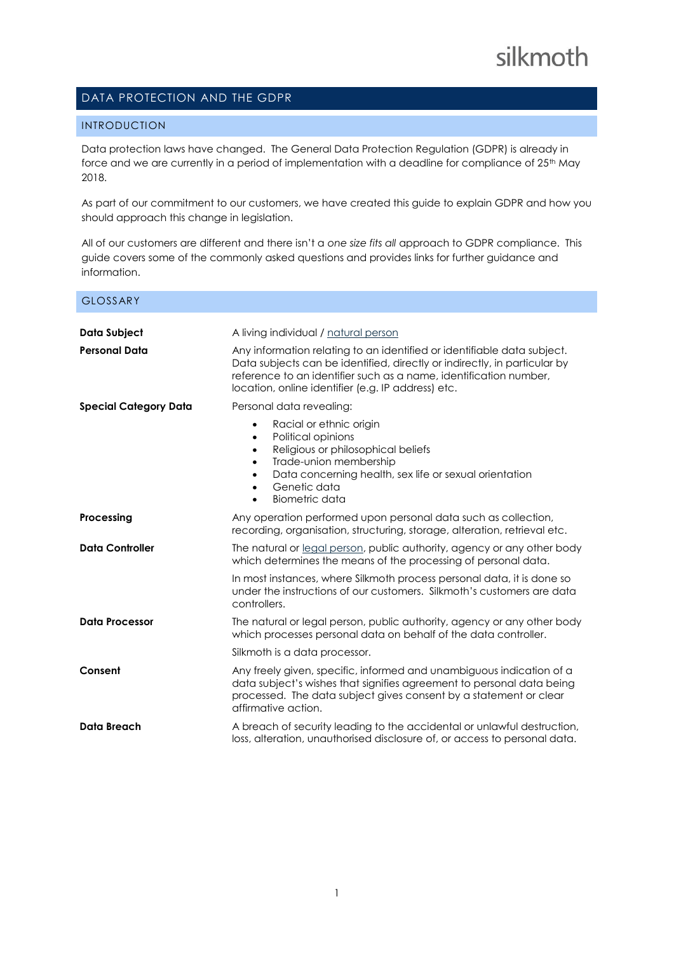# DATA PROTECTION AND THE GDPR

# INTRODUCTION

Data protection laws have changed. The General Data Protection Regulation (GDPR) is already in force and we are currently in a period of implementation with a deadline for compliance of 25<sup>th</sup> May 2018.

As part of our commitment to our customers, we have created this guide to explain GDPR and how you should approach this change in legislation.

All of our customers are different and there isn't a *one size fits all* approach to GDPR compliance. This guide covers some of the commonly asked questions and provides links for further guidance and information.

| <b>GLOSSARY</b>              |                                                                                                                                                                                                                                                                                 |
|------------------------------|---------------------------------------------------------------------------------------------------------------------------------------------------------------------------------------------------------------------------------------------------------------------------------|
| Data Subject                 | A living individual / natural person                                                                                                                                                                                                                                            |
| <b>Personal Data</b>         | Any information relating to an identified or identifiable data subject.<br>Data subjects can be identified, directly or indirectly, in particular by<br>reference to an identifier such as a name, identification number,<br>location, online identifier (e.g. IP address) etc. |
| <b>Special Category Data</b> | Personal data revealing:                                                                                                                                                                                                                                                        |
|                              | Racial or ethnic origin<br>$\bullet$<br>Political opinions<br>$\bullet$<br>Religious or philosophical beliefs<br>$\bullet$<br>Trade-union membership<br>$\bullet$<br>Data concerning health, sex life or sexual orientation<br>Genetic data<br>Biometric data<br>$\bullet$      |
| Processing                   | Any operation performed upon personal data such as collection,<br>recording, organisation, structuring, storage, alteration, retrieval etc.                                                                                                                                     |
| <b>Data Controller</b>       | The natural or legal person, public authority, agency or any other body<br>which determines the means of the processing of personal data.                                                                                                                                       |
|                              | In most instances, where Silkmoth process personal data, it is done so<br>under the instructions of our customers. Silkmoth's customers are data<br>controllers.                                                                                                                |
| <b>Data Processor</b>        | The natural or legal person, public authority, agency or any other body<br>which processes personal data on behalf of the data controller.                                                                                                                                      |
|                              | Silkmoth is a data processor.                                                                                                                                                                                                                                                   |
| Consent                      | Any freely given, specific, informed and unambiguous indication of a<br>data subject's wishes that signifies agreement to personal data being<br>processed. The data subject gives consent by a statement or clear<br>affirmative action.                                       |
| <b>Data Breach</b>           | A breach of security leading to the accidental or unlawful destruction,<br>loss, alteration, unauthorised disclosure of, or access to personal data.                                                                                                                            |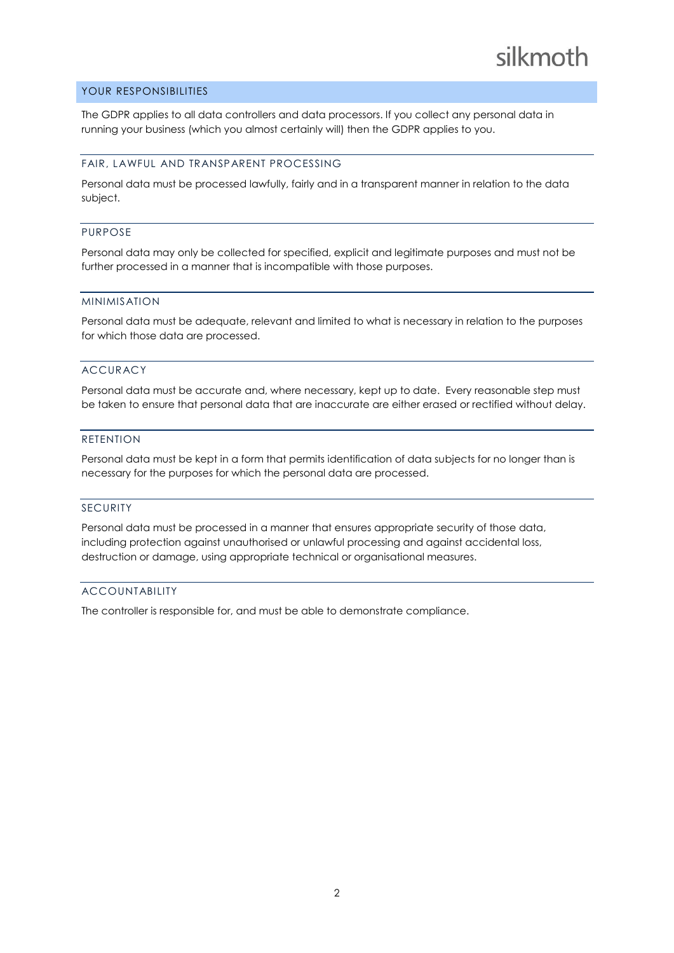# YOUR RESPONSIBILITIES

The GDPR applies to all data controllers and data processors. If you collect any personal data in running your business (which you almost certainly will) then the GDPR applies to you.

#### FAIR, LAWFUL AND TRANSPARENT PROCESSING

Personal data must be processed lawfully, fairly and in a transparent manner in relation to the data subject.

#### PURPOSE

Personal data may only be collected for specified, explicit and legitimate purposes and must not be further processed in a manner that is incompatible with those purposes.

#### MINIMISATION

Personal data must be adequate, relevant and limited to what is necessary in relation to the purposes for which those data are processed.

## ACCURACY

Personal data must be accurate and, where necessary, kept up to date. Every reasonable step must be taken to ensure that personal data that are inaccurate are either erased or rectified without delay.

# RETENTION

Personal data must be kept in a form that permits identification of data subjects for no longer than is necessary for the purposes for which the personal data are processed.

## SECURITY

Personal data must be processed in a manner that ensures appropriate security of those data, including protection against unauthorised or unlawful processing and against accidental loss, destruction or damage, using appropriate technical or organisational measures.

#### **ACCOUNTABILITY**

The controller is responsible for, and must be able to demonstrate compliance.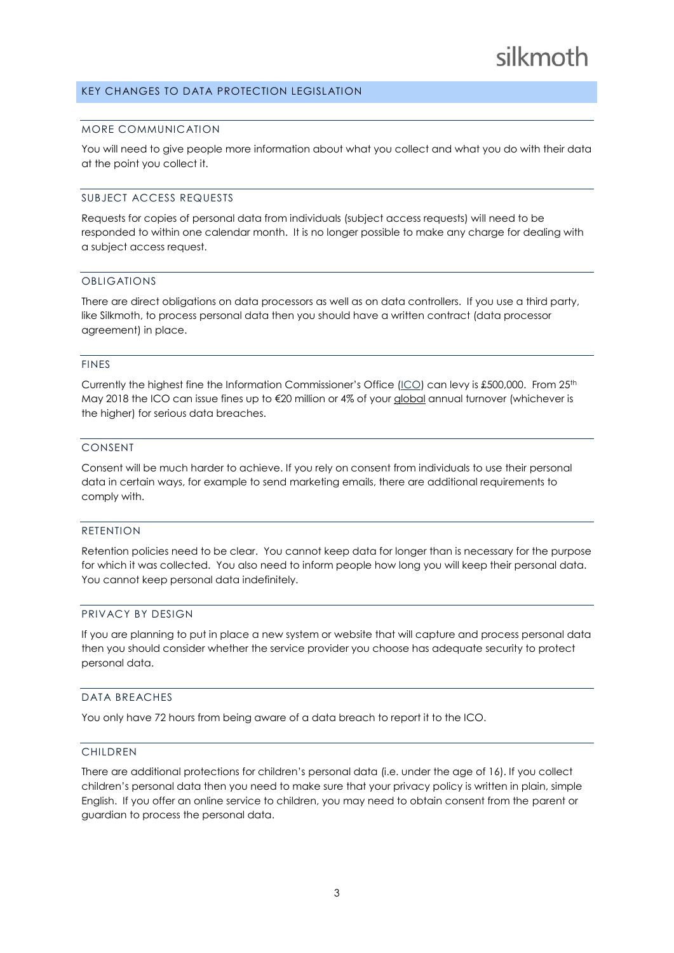# silkmoth

# KEY CHANGES TO DATA PROTECTION LEGISLATION

#### MORE COMMUNICATION

You will need to give people more information about what you collect and what you do with their data at the point you collect it.

## SUBJECT ACCESS REQUESTS

Requests for copies of personal data from individuals (subject access requests) will need to be responded to within one calendar month. It is no longer possible to make any charge for dealing with a subject access request.

#### OBLIGATIONS

There are direct obligations on data processors as well as on data controllers. If you use a third party, like Silkmoth, to process personal data then you should have a written contract (data processor agreement) in place.

## FINES

Currently the highest fine the Information Commissioner's Office ( $\underline{ICO}$ ) can levy is £500,000. From 25<sup>th</sup> May 2018 the ICO can issue fines up to €20 million or 4% of your global annual turnover (whichever is the higher) for serious data breaches.

#### CONSENT

Consent will be much harder to achieve. If you rely on consent from individuals to use their personal data in certain ways, for example to send marketing emails, there are additional requirements to comply with.

## RETENTION

Retention policies need to be clear. You cannot keep data for longer than is necessary for the purpose for which it was collected. You also need to inform people how long you will keep their personal data. You cannot keep personal data indefinitely.

## PRIVACY BY DESIGN

If you are planning to put in place a new system or website that will capture and process personal data then you should consider whether the service provider you choose has adequate security to protect personal data.

#### DATA BREACHES

You only have 72 hours from being aware of a data breach to report it to the ICO.

#### CHILDREN

There are additional protections for children's personal data (i.e. under the age of 16). If you collect children's personal data then you need to make sure that your privacy policy is written in plain, simple English. If you offer an online service to children, you may need to obtain consent from the parent or guardian to process the personal data.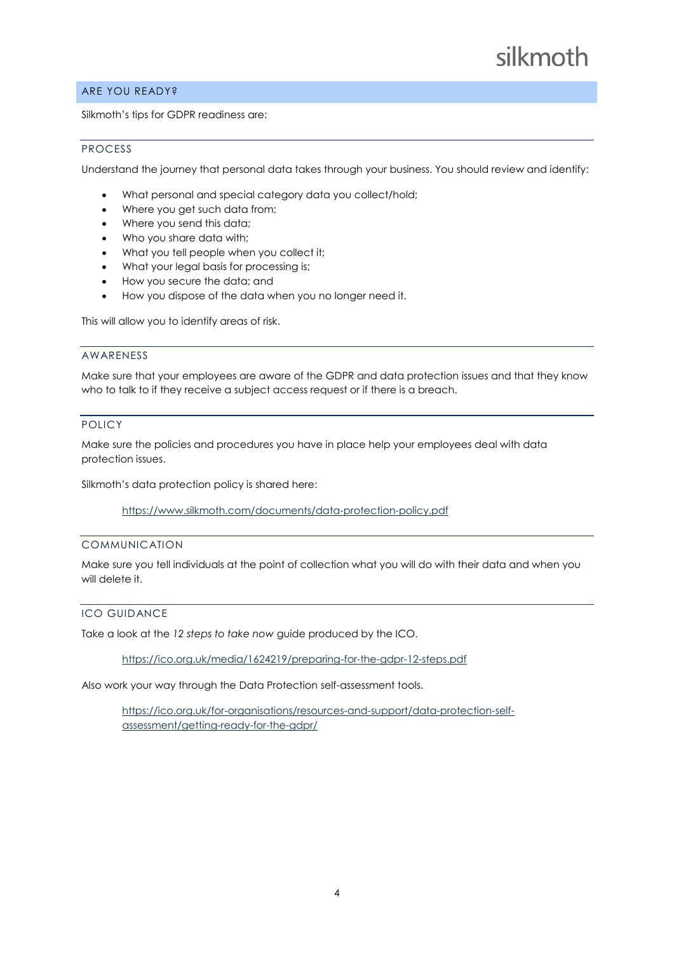# ARE YOU READY?

Silkmoth's tips for GDPR readiness are:

# PROCESS

Understand the journey that personal data takes through your business. You should review and identify:

- What personal and special category data you collect/hold;
- Where you get such data from;
- Where you send this data;
- Who you share data with;
- What you tell people when you collect it;
- What your legal basis for processing is;
- How you secure the data; and
- How you dispose of the data when you no longer need it.

This will allow you to identify areas of risk.

## AWARENESS

Make sure that your employees are aware of the GDPR and data protection issues and that they know who to talk to if they receive a subject access request or if there is a breach.

# POLICY

Make sure the policies and procedures you have in place help your employees deal with data protection issues.

Silkmoth's data protection policy is shared here:

<https://www.silkmoth.com/documents/data-protection-policy.pdf>

# COMMUNICATION

Make sure you tell individuals at the point of collection what you will do with their data and when you will delete it.

# ICO GUIDANCE

Take a look at the *12 steps to take now* guide produced by the ICO.

<https://ico.org.uk/media/1624219/preparing-for-the-gdpr-12-steps.pdf>

Also work your way through the Data Protection self-assessment tools.

[https://ico.org.uk/for-organisations/resources-and-support/data-protection-self](https://ico.org.uk/for-organisations/resources-and-support/data-protection-self-assessment/getting-ready-for-the-gdpr/)[assessment/getting-ready-for-the-gdpr/](https://ico.org.uk/for-organisations/resources-and-support/data-protection-self-assessment/getting-ready-for-the-gdpr/)